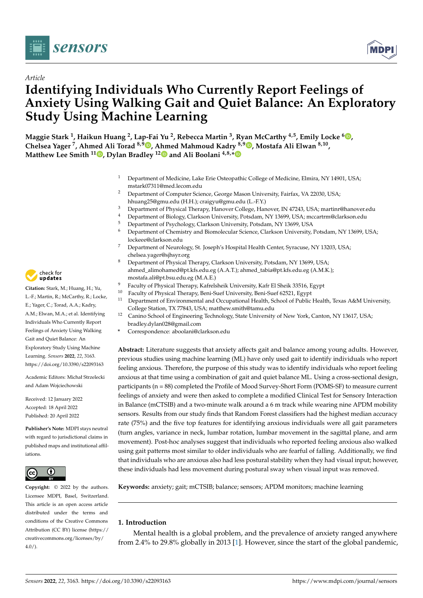



# *Article* **Identifying Individuals Who Currently Report Feelings of Anxiety Using Walking Gait and Quiet Balance: An Exploratory Study Using Machine Learning**

**Maggie Stark <sup>1</sup> , Haikun Huang <sup>2</sup> , Lap-Fai Yu <sup>2</sup> , Rebecca Martin <sup>3</sup> , Ryan McCarthy 4,5, Emily Locke <sup>6</sup> [,](https://orcid.org/0000-0001-5452-9928) Chelsea Yager <sup>7</sup> , Ahmed Ali Torad 8,9 [,](https://orcid.org/0000-0003-4170-6694) A[hm](https://orcid.org/0000-0003-1042-3624)ed Mahmoud Kadry 8,9 [,](https://orcid.org/0000-0002-5009-4514) Mostafa Ali Elwan 8,10 , Matthew Lee Smith <sup>11</sup> [,](https://orcid.org/0000-0002-8232-9285) Dylan Bradley <sup>12</sup> and Ali Boolani 4,8,[\\*](https://orcid.org/0000-0002-2261-4498)**

- <sup>1</sup> Department of Medicine, Lake Erie Osteopathic College of Medicine, Elmira, NY 14901, USA; mstark07311@med.lecom.edu
- <sup>2</sup> Department of Computer Science, George Mason University, Fairfax, VA 22030, USA; hhuang25@gmu.edu (H.H.); craigyu@gmu.edu (L.-F.Y.)
- <sup>3</sup> Department of Physical Therapy, Hanover College, Hanover, IN 47243, USA; martinr@hanover.edu
- 4 Department of Biology, Clarkson University, Potsdam, NY 13699, USA; mccartrm@clarkson.edu<br>5 Department of Bayshology, Clarkson University, Potsdam, NY 13600, USA
- <sup>5</sup> Department of Psychology, Clarkson University, Potsdam, NY 13699, USA<br><sup>6</sup> Department of Chamistry and Biomologylar Science, Clarkson University
- <sup>6</sup> Department of Chemistry and Biomolecular Science, Clarkson University, Potsdam, NY 13699, USA; lockeee@clarkson.edu
- <sup>7</sup> Department of Neurology, St. Joseph's Hospital Health Center, Syracuse, NY 13203, USA; chelsea.yager@sjhsyr.org
- Department of Physical Therapy, Clarkson University, Potsdam, NY 13699, USA; ahmed\_alimohamed@pt.kfs.edu.eg (A.A.T.); ahmed\_tabia@pt.kfs.edu.eg (A.M.K.); mostafa.ali@pt.bsu.edu.eg (M.A.E.)
- 9 Faculty of Physical Therapy, Kafrelsheik University, Kafr El Sheik 33516, Egypt<br><sup>10</sup> Egyptiation Physical Therapy, Boni Suef University, Boni Suef 62521, Egypt
- <sup>10</sup> Faculty of Physical Therapy, Beni-Suef University, Beni-Suef 62521, Egypt<br><sup>11</sup> Department of Environmental and Occupational Health, School of Public
- <sup>11</sup> Department of Environmental and Occupational Health, School of Public Health, Texas A&M University, College Station, TX 77843, USA; matthew.smith@tamu.edu
- <sup>12</sup> Canino School of Engineering Technology, State University of New York, Canton, NY 13617, USA; bradley.dylan028@gmail.com
- **\*** Correspondence: aboolani@clarkson.edu

**Abstract:** Literature suggests that anxiety affects gait and balance among young adults. However, previous studies using machine learning (ML) have only used gait to identify individuals who report feeling anxious. Therefore, the purpose of this study was to identify individuals who report feeling anxious at that time using a combination of gait and quiet balance ML. Using a cross-sectional design, participants (n = 88) completed the Profile of Mood Survey-Short Form (POMS-SF) to measure current feelings of anxiety and were then asked to complete a modified Clinical Test for Sensory Interaction in Balance (mCTSIB) and a two-minute walk around a 6 m track while wearing nine APDM mobility sensors. Results from our study finds that Random Forest classifiers had the highest median accuracy rate (75%) and the five top features for identifying anxious individuals were all gait parameters (turn angles, variance in neck, lumbar rotation, lumbar movement in the sagittal plane, and arm movement). Post-hoc analyses suggest that individuals who reported feeling anxious also walked using gait patterns most similar to older individuals who are fearful of falling. Additionally, we find that individuals who are anxious also had less postural stability when they had visual input; however, these individuals had less movement during postural sway when visual input was removed.

**Keywords:** anxiety; gait; mCTSIB; balance; sensors; APDM monitors; machine learning

# **1. Introduction**

Mental health is a global problem, and the prevalence of anxiety ranged anywhere from 2.4% to 29.8% globally in 2013 [\[1\]](#page-14-0). However, since the start of the global pandemic,



**Citation:** Stark, M.; Huang, H.; Yu, L.-F.; Martin, R.; McCarthy, R.; Locke, E.; Yager, C.; Torad, A.A.; Kadry, A.M.; Elwan, M.A.; et al. Identifying Individuals Who Currently Report Feelings of Anxiety Using Walking Gait and Quiet Balance: An Exploratory Study Using Machine Learning. *Sensors* **2022**, *22*, 3163. <https://doi.org/10.3390/s22093163>

Academic Editors: Michał Strzelecki and Adam Wojciechowski

Received: 12 January 2022 Accepted: 18 April 2022 Published: 20 April 2022

**Publisher's Note:** MDPI stays neutral with regard to jurisdictional claims in published maps and institutional affiliations.



**Copyright:** © 2022 by the authors. Licensee MDPI, Basel, Switzerland. This article is an open access article distributed under the terms and conditions of the Creative Commons Attribution (CC BY) license [\(https://](https://creativecommons.org/licenses/by/4.0/) [creativecommons.org/licenses/by/](https://creativecommons.org/licenses/by/4.0/)  $4.0/$ ).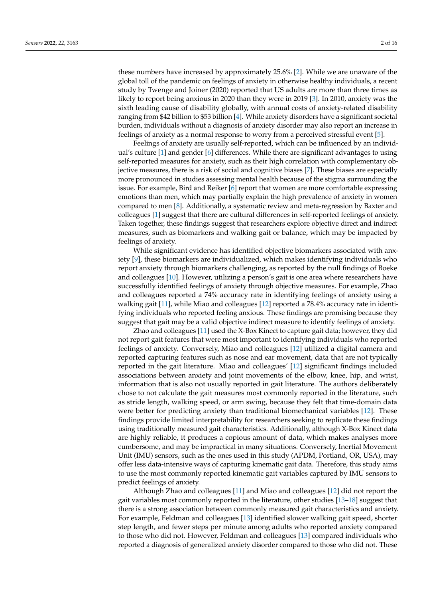these numbers have increased by approximately 25.6% [\[2\]](#page-14-1). While we are unaware of the global toll of the pandemic on feelings of anxiety in otherwise healthy individuals, a recent study by Twenge and Joiner (2020) reported that US adults are more than three times as likely to report being anxious in 2020 than they were in 2019 [\[3\]](#page-14-2). In 2010, anxiety was the sixth leading cause of disability globally, with annual costs of anxiety-related disability ranging from \$42 billion to \$53 billion [\[4\]](#page-14-3). While anxiety disorders have a significant societal burden, individuals without a diagnosis of anxiety disorder may also report an increase in feelings of anxiety as a normal response to worry from a perceived stressful event [\[5\]](#page-14-4).

Feelings of anxiety are usually self-reported, which can be influenced by an individual's culture [\[1\]](#page-14-0) and gender [\[6\]](#page-14-5) differences. While there are significant advantages to using self-reported measures for anxiety, such as their high correlation with complementary objective measures, there is a risk of social and cognitive biases [\[7\]](#page-14-6). These biases are especially more pronounced in studies assessing mental health because of the stigma surrounding the issue. For example, Bird and Reiker [\[6\]](#page-14-5) report that women are more comfortable expressing emotions than men, which may partially explain the high prevalence of anxiety in women compared to men [\[8\]](#page-14-7). Additionally, a systematic review and meta-regression by Baxter and colleagues [\[1\]](#page-14-0) suggest that there are cultural differences in self-reported feelings of anxiety. Taken together, these findings suggest that researchers explore objective direct and indirect measures, such as biomarkers and walking gait or balance, which may be impacted by feelings of anxiety.

While significant evidence has identified objective biomarkers associated with anxiety [\[9\]](#page-14-8), these biomarkers are individualized, which makes identifying individuals who report anxiety through biomarkers challenging, as reported by the null findings of Boeke and colleagues [\[10\]](#page-14-9). However, utilizing a person's gait is one area where researchers have successfully identified feelings of anxiety through objective measures. For example, Zhao and colleagues reported a 74% accuracy rate in identifying feelings of anxiety using a walking gait [\[11\]](#page-14-10), while Miao and colleagues [\[12\]](#page-14-11) reported a 78.4% accuracy rate in identifying individuals who reported feeling anxious. These findings are promising because they suggest that gait may be a valid objective indirect measure to identify feelings of anxiety.

Zhao and colleagues [\[11\]](#page-14-10) used the X-Box Kinect to capture gait data; however, they did not report gait features that were most important to identifying individuals who reported feelings of anxiety. Conversely, Miao and colleagues [\[12\]](#page-14-11) utilized a digital camera and reported capturing features such as nose and ear movement, data that are not typically reported in the gait literature. Miao and colleagues' [\[12\]](#page-14-11) significant findings included associations between anxiety and joint movements of the elbow, knee, hip, and wrist, information that is also not usually reported in gait literature. The authors deliberately chose to not calculate the gait measures most commonly reported in the literature, such as stride length, walking speed, or arm swing, because they felt that time-domain data were better for predicting anxiety than traditional biomechanical variables [\[12\]](#page-14-11). These findings provide limited interpretability for researchers seeking to replicate these findings using traditionally measured gait characteristics. Additionally, although X-Box Kinect data are highly reliable, it produces a copious amount of data, which makes analyses more cumbersome, and may be impractical in many situations. Conversely, Inertial Movement Unit (IMU) sensors, such as the ones used in this study (APDM, Portland, OR, USA), may offer less data-intensive ways of capturing kinematic gait data. Therefore, this study aims to use the most commonly reported kinematic gait variables captured by IMU sensors to predict feelings of anxiety.

Although Zhao and colleagues [\[11\]](#page-14-10) and Miao and colleagues [\[12\]](#page-14-11) did not report the gait variables most commonly reported in the literature, other studies [\[13–](#page-14-12)[18\]](#page-14-13) suggest that there is a strong association between commonly measured gait characteristics and anxiety. For example, Feldman and colleagues [\[13\]](#page-14-12) identified slower walking gait speed, shorter step length, and fewer steps per minute among adults who reported anxiety compared to those who did not. However, Feldman and colleagues [\[13\]](#page-14-12) compared individuals who reported a diagnosis of generalized anxiety disorder compared to those who did not. These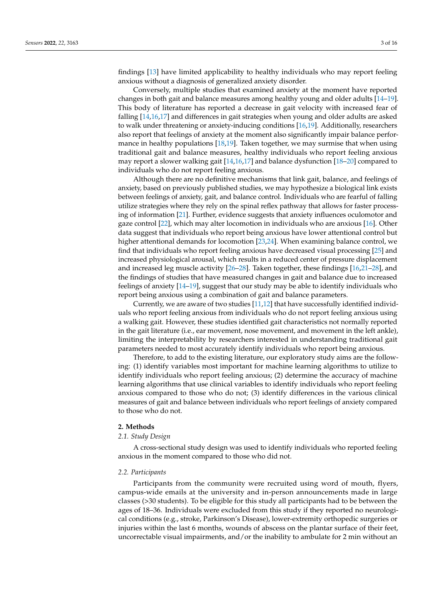findings [\[13\]](#page-14-12) have limited applicability to healthy individuals who may report feeling anxious without a diagnosis of generalized anxiety disorder.

Conversely, multiple studies that examined anxiety at the moment have reported changes in both gait and balance measures among healthy young and older adults [\[14](#page-14-14)[–19\]](#page-14-15). This body of literature has reported a decrease in gait velocity with increased fear of falling [\[14](#page-14-14)[,16](#page-14-16)[,17\]](#page-14-17) and differences in gait strategies when young and older adults are asked to walk under threatening or anxiety-inducing conditions [\[16](#page-14-16)[,19\]](#page-14-15). Additionally, researchers also report that feelings of anxiety at the moment also significantly impair balance performance in healthy populations [\[18,](#page-14-13)[19\]](#page-14-15). Taken together, we may surmise that when using traditional gait and balance measures, healthy individuals who report feeling anxious may report a slower walking gait [\[14](#page-14-14)[,16](#page-14-16)[,17\]](#page-14-17) and balance dysfunction [\[18](#page-14-13)[–20\]](#page-14-18) compared to individuals who do not report feeling anxious.

Although there are no definitive mechanisms that link gait, balance, and feelings of anxiety, based on previously published studies, we may hypothesize a biological link exists between feelings of anxiety, gait, and balance control. Individuals who are fearful of falling utilize strategies where they rely on the spinal reflex pathway that allows for faster processing of information [\[21\]](#page-14-19). Further, evidence suggests that anxiety influences oculomotor and gaze control [\[22\]](#page-14-20), which may alter locomotion in individuals who are anxious [\[16\]](#page-14-16). Other data suggest that individuals who report being anxious have lower attentional control but higher attentional demands for locomotion [\[23](#page-14-21)[,24\]](#page-14-22). When examining balance control, we find that individuals who report feeling anxious have decreased visual processing [\[25\]](#page-14-23) and increased physiological arousal, which results in a reduced center of pressure displacement and increased leg muscle activity [\[26](#page-14-24)[–28\]](#page-14-25). Taken together, these findings [\[16,](#page-14-16)[21](#page-14-19)[–28\]](#page-14-25), and the findings of studies that have measured changes in gait and balance due to increased feelings of anxiety [\[14–](#page-14-14)[19\]](#page-14-15), suggest that our study may be able to identify individuals who report being anxious using a combination of gait and balance parameters.

Currently, we are aware of two studies  $[11,12]$  $[11,12]$  that have successfully identified individuals who report feeling anxious from individuals who do not report feeling anxious using a walking gait. However, these studies identified gait characteristics not normally reported in the gait literature (i.e., ear movement, nose movement, and movement in the left ankle), limiting the interpretability by researchers interested in understanding traditional gait parameters needed to most accurately identify individuals who report being anxious.

Therefore, to add to the existing literature, our exploratory study aims are the following: (1) identify variables most important for machine learning algorithms to utilize to identify individuals who report feeling anxious; (2) determine the accuracy of machine learning algorithms that use clinical variables to identify individuals who report feeling anxious compared to those who do not; (3) identify differences in the various clinical measures of gait and balance between individuals who report feelings of anxiety compared to those who do not.

# **2. Methods**

#### *2.1. Study Design*

A cross-sectional study design was used to identify individuals who reported feeling anxious in the moment compared to those who did not.

#### *2.2. Participants*

Participants from the community were recruited using word of mouth, flyers, campus-wide emails at the university and in-person announcements made in large classes (>30 students). To be eligible for this study all participants had to be between the ages of 18–36. Individuals were excluded from this study if they reported no neurological conditions (e.g., stroke, Parkinson's Disease), lower-extremity orthopedic surgeries or injuries within the last 6 months, wounds of abscess on the plantar surface of their feet, uncorrectable visual impairments, and/or the inability to ambulate for 2 min without an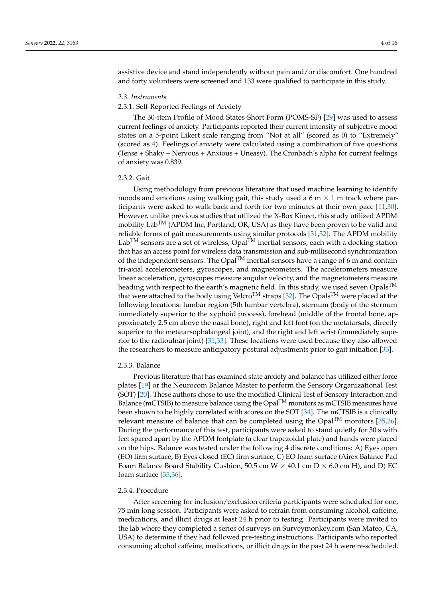assistive device and stand independently without pain and/or discomfort. One hundred and forty volunteers were screened and 133 were qualified to participate in this study.

#### *2.3. Instruments*

# 2.3.1. Self-Reported Feelings of Anxiety

The 30-item Profile of Mood States-Short Form (POMS-SF) [\[29\]](#page-14-26) was used to assess current feelings of anxiety. Participants reported their current intensity of subjective mood states on a 5-point Likert scale ranging from "Not at all" (scored as 0) to "Extremely" (scored as 4). Feelings of anxiety were calculated using a combination of five questions (Tense + Shaky + Nervous + Anxious + Uneasy). The Cronbach's alpha for current feelings of anxiety was 0.839.

# 2.3.2. Gait

Using methodology from previous literature that used machine learning to identify moods and emotions using walking gait, this study used a 6 m  $\times$  1 m track where participants were asked to walk back and forth for two minutes at their own pace [\[11,](#page-14-10)[30\]](#page-14-27). However, unlike previous studies that utilized the X-Box Kinect, this study utilized APDM mobility  $Lab^{TM}$  (APDM Inc, Portland, OR, USA) as they have been proven to be valid and reliable forms of gait measurements using similar protocols [\[31,](#page-15-0)[32\]](#page-15-1). The APDM mobility  $Lab^{TM}$  sensors are a set of wireless,  $Opal^{TM}$  inertial sensors, each with a docking station that has an access point for wireless data transmission and sub-millisecond synchronization of the independent sensors. The  $Opal<sup>TM</sup>$  inertial sensors have a range of 6 m and contain tri-axial accelerometers, gyroscopes, and magnetometers. The accelerometers measure linear acceleration, gyroscopes measure angular velocity, and the magnetometers measure heading with respect to the earth's magnetic field. In this study, we used seven  $Opals<sup>TM</sup>$ that were attached to the body using Velcro<sup>TM</sup> straps [\[32\]](#page-15-1). The Opals<sup>TM</sup> were placed at the following locations: lumbar region (5th lumbar vertebra), sternum (body of the sternum immediately superior to the xyphoid process), forehead (middle of the frontal bone, approximately 2.5 cm above the nasal bone), right and left foot (on the metatarsals, directly superior to the metatarsophalangeal joint), and the right and left wrist (immediately superior to the radioulnar joint) [\[31](#page-15-0)[,33\]](#page-15-2). These locations were used because they also allowed the researchers to measure anticipatory postural adjustments prior to gait initiation [\[33\]](#page-15-2).

#### 2.3.3. Balance

Previous literature that has examined state anxiety and balance has utilized either force plates [\[19\]](#page-14-15) or the Neurocom Balance Master to perform the Sensory Organizational Test (SOT) [\[20\]](#page-14-18). These authors chose to use the modified Clinical Test of Sensory Interaction and Balance (mCTSIB) to measure balance using the  $Opal<sup>TM</sup>$  monitors as mCTSIB measures have been shown to be highly correlated with scores on the SOT [\[34\]](#page-15-3). The mCTSIB is a clinically relevant measure of balance that can be completed using the Opal<sup>TM</sup> monitors [\[35,](#page-15-4)[36\]](#page-15-5). During the performance of this test, participants were asked to stand quietly for 30 s with feet spaced apart by the APDM footplate (a clear trapezoidal plate) and hands were placed on the hips. Balance was tested under the following 4 discrete conditions: A) Eyes open (EO) firm surface, B) Eyes closed (EC) firm surface, C) EO foam surface (Airex Balance Pad Foam Balance Board Stability Cushion, 50.5 cm  $W \times 40.1$  cm  $D \times 6.0$  cm H), and D) EC foam surface [\[35](#page-15-4)[,36\]](#page-15-5).

#### 2.3.4. Procedure

After screening for inclusion/exclusion criteria participants were scheduled for one, 75 min long session. Participants were asked to refrain from consuming alcohol, caffeine, medications, and illicit drugs at least 24 h prior to testing. Participants were invited to the lab where they completed a series of surveys on Surveymonkey.com (San Mateo, CA, USA) to determine if they had followed pre-testing instructions. Participants who reported consuming alcohol caffeine, medications, or illicit drugs in the past 24 h were re-scheduled.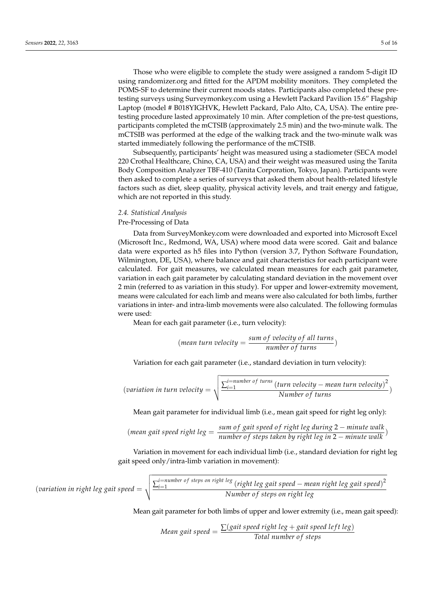Those who were eligible to complete the study were assigned a random 5-digit ID using randomizer.org and fitted for the APDM mobility monitors. They completed the POMS-SF to determine their current moods states. Participants also completed these pretesting surveys using Surveymonkey.com using a Hewlett Packard Pavilion 15.6" Flagship Laptop (model # B018YIGHVK, Hewlett Packard, Palo Alto, CA, USA). The entire pretesting procedure lasted approximately 10 min. After completion of the pre-test questions, participants completed the mCTSIB (approximately 2.5 min) and the two-minute walk. The mCTSIB was performed at the edge of the walking track and the two-minute walk was started immediately following the performance of the mCTSIB.

Subsequently, participants' height was measured using a stadiometer (SECA model 220 Crothal Healthcare, Chino, CA, USA) and their weight was measured using the Tanita Body Composition Analyzer TBF-410 (Tanita Corporation, Tokyo, Japan). Participants were then asked to complete a series of surveys that asked them about health-related lifestyle factors such as diet, sleep quality, physical activity levels, and trait energy and fatigue, which are not reported in this study.

# *2.4. Statistical Analysis*

# Pre-Processing of Data

Data from SurveyMonkey.com were downloaded and exported into Microsoft Excel (Microsoft Inc., Redmond, WA, USA) where mood data were scored. Gait and balance data were exported as h5 files into Python (version 3.7, Python Software Foundation, Wilmington, DE, USA), where balance and gait characteristics for each participant were calculated. For gait measures, we calculated mean measures for each gait parameter, variation in each gait parameter by calculating standard deviation in the movement over 2 min (referred to as variation in this study). For upper and lower-extremity movement, means were calculated for each limb and means were also calculated for both limbs, further variations in inter- and intra-limb movements were also calculated. The following formulas were used:

Mean for each gait parameter (i.e., turn velocity):

$$
(\text{mean turn velocity} = \frac{\text{sum of velocity of all turns}}{\text{number of turns}})
$$

Variation for each gait parameter (i.e., standard deviation in turn velocity):

$$
(variation in turn velocity = \sqrt{\frac{\sum_{i=1}^{i=number of turns}(turn velocity - mean turn velocity)^2}{Number of turns}})
$$

Mean gait parameter for individual limb (i.e., mean gait speed for right leg only):

(mean gait speed right leg = 
$$
\frac{\text{sum of gait speed of right leg during 2} - \text{minute walk}}{\text{number of steps taken by right leg in 2} - \text{minute walk}}
$$
)

Variation in movement for each individual limb (i.e., standard deviation for right leg gait speed only/intra-limb variation in movement):

$$
(variation in right leg gait speed = \sqrt{\frac{\sum_{i=1}^{i=number of steps on right leg}{Number of steps of right leg gait speed - mean right leg gait speed)^2}}{Number of steps on right leg}
$$

Mean gait parameter for both limbs of upper and lower extremity (i.e., mean gait speed):

Mean gait speed = 
$$
\frac{\sum (gait speed right leg + gait speed left leg)}{\text{Total number of steps}}
$$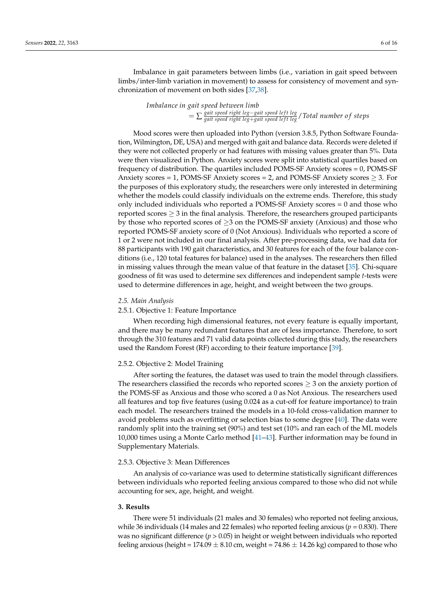Imbalance in gait parameters between limbs (i.e., variation in gait speed between limbs/inter-limb variation in movement) to assess for consistency of movement and synchronization of movement on both sides [\[37,](#page-15-6)[38\]](#page-15-7).

> *Imbalance in gait speed between limb* = ∑ *gait speed right leg*−*gait speed le f t leg gait speed right leg*+*gait speed le f t leg*/*Total number o f steps*

Mood scores were then uploaded into Python (version 3.8.5, Python Software Foundation, Wilmington, DE, USA) and merged with gait and balance data. Records were deleted if they were not collected properly or had features with missing values greater than 5%. Data were then visualized in Python. Anxiety scores were split into statistical quartiles based on frequency of distribution. The quartiles included POMS-SF Anxiety scores = 0, POMS-SF Anxiety scores = 1, POMS-SF Anxiety scores = 2, and POMS-SF Anxiety scores  $\geq$  3. For the purposes of this exploratory study, the researchers were only interested in determining whether the models could classify individuals on the extreme ends. Therefore, this study only included individuals who reported a POMS-SF Anxiety scores = 0 and those who reported scores  $\geq 3$  in the final analysis. Therefore, the researchers grouped participants by those who reported scores of  $\geq$ 3 on the POMS-SF anxiety (Anxious) and those who reported POMS-SF anxiety score of 0 (Not Anxious). Individuals who reported a score of 1 or 2 were not included in our final analysis. After pre-processing data, we had data for 88 participants with 190 gait characteristics, and 30 features for each of the four balance conditions (i.e., 120 total features for balance) used in the analyses. The researchers then filled in missing values through the mean value of that feature in the dataset [\[35\]](#page-15-4). Chi-square goodness of fit was used to determine sex differences and independent sample *t*-tests were used to determine differences in age, height, and weight between the two groups.

#### *2.5. Main Analysis*

#### 2.5.1. Objective 1: Feature Importance

When recording high dimensional features, not every feature is equally important, and there may be many redundant features that are of less importance. Therefore, to sort through the 310 features and 71 valid data points collected during this study, the researchers used the Random Forest (RF) according to their feature importance [\[39\]](#page-15-8).

#### 2.5.2. Objective 2: Model Training

After sorting the features, the dataset was used to train the model through classifiers. The researchers classified the records who reported scores  $\geq$  3 on the anxiety portion of the POMS-SF as Anxious and those who scored a 0 as Not Anxious. The researchers used all features and top five features (using 0.024 as a cut-off for feature importance) to train each model. The researchers trained the models in a 10-fold cross-validation manner to avoid problems such as overfitting or selection bias to some degree [\[40\]](#page-15-9). The data were randomly split into the training set (90%) and test set (10% and ran each of the ML models 10,000 times using a Monte Carlo method [\[41–](#page-15-10)[43\]](#page-15-11). Further information may be found in Supplementary Materials.

#### 2.5.3. Objective 3: Mean Differences

An analysis of co-variance was used to determine statistically significant differences between individuals who reported feeling anxious compared to those who did not while accounting for sex, age, height, and weight.

#### **3. Results**

There were 51 individuals (21 males and 30 females) who reported not feeling anxious, while 36 individuals (14 males and 22 females) who reported feeling anxious (*p* = 0.830). There was no significant difference ( $p > 0.05$ ) in height or weight between individuals who reported feeling anxious (height = 174.09  $\pm$  8.10 cm, weight = 74.86  $\pm$  14.26 kg) compared to those who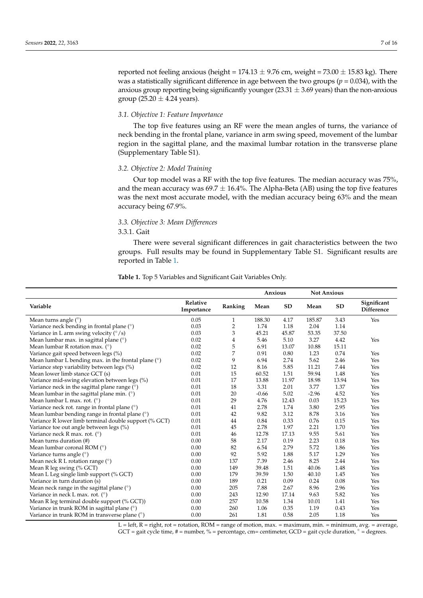reported not feeling anxious (height =  $174.13 \pm 9.76$  cm, weight =  $73.00 \pm 15.83$  kg). There was a statistically significant difference in age between the two groups ( $p = 0.034$ ), with the anxious group reporting being significantly younger  $(23.31 \pm 3.69$  years) than the non-anxious group (25.20  $\pm$  4.24 years).

## *3.1. Objective 1: Feature Importance*

The top five features using an RF were the mean angles of turns, the variance of neck bending in the frontal plane, variance in arm swing speed, movement of the lumbar region in the sagittal plane, and the maximal lumbar rotation in the transverse plane (Supplementary Table S1).

## *3.2. Objective 2: Model Training*

Our top model was a RF with the top five features. The median accuracy was 75%, and the mean accuracy was  $69.7 \pm 16.4\%$ . The Alpha-Beta (AB) using the top five features was the next most accurate model, with the median accuracy being 63% and the mean accuracy being 67.9%.

## *3.3. Objective 3: Mean Differences*

## 3.3.1. Gait

There were several significant differences in gait characteristics between the two groups. Full results may be found in Supplementary Table S1. Significant results are reported in Table [1.](#page-6-0)

|                                                       |                        |                | Anxious |           | <b>Not Anxious</b> |           |                                  |
|-------------------------------------------------------|------------------------|----------------|---------|-----------|--------------------|-----------|----------------------------------|
| Variable                                              | Relative<br>Importance | Ranking        | Mean    | <b>SD</b> | Mean               | <b>SD</b> | Significant<br><b>Difference</b> |
| Mean turns angle $(°)$                                | 0.05                   | 1              | 188.30  | 4.17      | 185.87             | 3.43      | Yes                              |
| Variance neck bending in frontal plane (°)            | 0.03                   | $\overline{2}$ | 1.74    | 1.18      | 2.04               | 1.14      |                                  |
| Variance in L arm swing velocity $({\degree}/s)$      | 0.03                   | 3              | 45.21   | 45.87     | 53.35              | 37.50     |                                  |
| Mean lumbar max. in sagittal plane $(°)$              | 0.02                   | $\overline{4}$ | 5.46    | 5.10      | 3.27               | 4.42      | Yes                              |
| Mean lumbar R rotation max. $(°)$                     | 0.02                   | 5              | 6.91    | 13.07     | 10.88              | 15.11     |                                  |
| Variance gait speed between legs (%)                  | 0.02                   | 7              | 0.91    | 0.80      | 1.23               | 0.74      | Yes                              |
| Mean lumbar L bending max. in the frontal plane $(°)$ | 0.02                   | 9              | 6.94    | 2.74      | 5.62               | 2.46      | Yes                              |
| Variance step variability between legs (%)            | 0.02                   | 12             | 8.16    | 5.85      | 11.21              | 7.44      | Yes                              |
| Mean lower limb stance GCT (s)                        | 0.01                   | 15             | 60.52   | 1.51      | 59.94              | 1.48      | Yes                              |
| Variance mid-swing elevation between legs (%)         | 0.01                   | 17             | 13.88   | 11.97     | 18.98              | 13.94     | Yes                              |
| Variance neck in the sagittal plane range $(°)$       | 0.01                   | 18             | 3.31    | 2.01      | 3.77               | 1.37      | Yes                              |
| Mean lumbar in the sagittal plane min. $(°)$          | 0.01                   | 20             | $-0.66$ | 5.02      | $-2.96$            | 4.52      | Yes                              |
| Mean lumbar L max. rot. $(°)$                         | 0.01                   | 29             | 4.76    | 12.43     | 0.03               | 15.23     | Yes                              |
| Variance neck rot. range in frontal plane (°)         | 0.01                   | 41             | 2.78    | 1.74      | 3.80               | 2.95      | Yes                              |
| Mean lumbar bending range in frontal plane (°)        | 0.01                   | 42             | 9.82    | 3.12      | 8.78               | 3.16      | Yes                              |
| Variance R lower limb terminal double support (% GCT) | 0.01                   | 44             | 0.84    | 0.33      | 0.76               | 0.15      | Yes                              |
| Variance toe out angle between legs (%)               | 0.01                   | 45             | 2.78    | 1.97      | 2.21               | 1.70      | Yes                              |
| Variance neck R max. rot. (°)                         | 0.01                   | 46             | 12.78   | 17.13     | 9.55               | 5.61      | Yes                              |
| Mean turns duration (#)                               | 0.00                   | 58             | 2.17    | 0.19      | 2.23               | 0.18      | Yes                              |
| Mean lumbar coronal ROM $(°)$                         | 0.00                   | 82             | 6.54    | 2.79      | 5.72               | 1.86      | Yes                              |
| Variance turns angle (°)                              | 0.00                   | 92             | 5.92    | 1.88      | 5.17               | 1.29      | Yes                              |
| Mean neck R L rotation range $(°)$                    | 0.00                   | 137            | 7.39    | 2.46      | 8.25               | 2.44      | Yes                              |
| Mean R leg swing (% GCT)                              | 0.00                   | 149            | 39.48   | 1.51      | 40.06              | 1.48      | Yes                              |
| Mean L Leg single limb support (% GCT)                | 0.00                   | 179            | 39.59   | 1.50      | 40.10              | 1.45      | Yes                              |
| Variance in turn duration (s)                         | 0.00                   | 189            | 0.21    | 0.09      | 0.24               | 0.08      | Yes                              |
| Mean neck range in the sagittal plane $(°)$           | 0.00                   | 205            | 7.88    | 2.67      | 8.96               | 2.96      | Yes                              |
| Variance in neck L max. rot. (°)                      | 0.00                   | 243            | 12.90   | 17.14     | 9.63               | 5.82      | Yes                              |
| Mean R leg terminal double support (% GCT))           | 0.00                   | 257            | 10.58   | 1.34      | 10.01              | 1.41      | Yes                              |
| Variance in trunk ROM in sagittal plane (°)           | 0.00                   | 260            | 1.06    | 0.35      | 1.19               | 0.43      | Yes                              |
| Variance in trunk ROM in transverse plane (°)         | 0.00                   | 261            | 1.81    | 0.58      | 2.05               | 1.18      | Yes                              |

<span id="page-6-0"></span>**Table 1.** Top 5 Variables and Significant Gait Variables Only.

L = left, R = right, rot = rotation, ROM = range of motion, max. = maximum, min. = minimum, avg. = average, GCT = gait cycle time,  $#$  = number, % = percentage, cm= centimeter, GCD = gait cycle duration,  $\circ$  = degrees.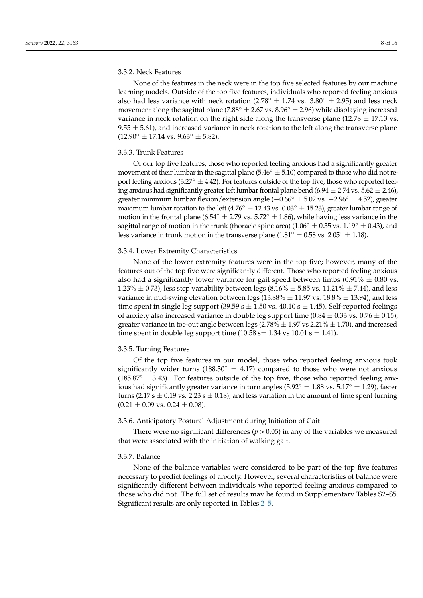## 3.3.2. Neck Features

None of the features in the neck were in the top five selected features by our machine learning models. Outside of the top five features, individuals who reported feeling anxious also had less variance with neck rotation (2.78<sup>°</sup>  $\pm$  1.74 vs. 3.80<sup>°</sup>  $\pm$  2.95) and less neck movement along the sagittal plane (7.88°  $\pm$  2.67 vs. 8.96°  $\pm$  2.96) while displaying increased variance in neck rotation on the right side along the transverse plane (12.78  $\pm$  17.13 vs.  $9.55 \pm 5.61$ ), and increased variance in neck rotation to the left along the transverse plane  $(12.90° \pm 17.14 \text{ vs. } 9.63° \pm 5.82).$ 

#### 3.3.3. Trunk Features

Of our top five features, those who reported feeling anxious had a significantly greater movement of their lumbar in the sagittal plane  $(5.46° \pm 5.10)$  compared to those who did not report feeling anxious (3.27 $\circ$  ± 4.42). For features outside of the top five, those who reported feeling anxious had significantly greater left lumbar frontal plane bend  $(6.94 \pm 2.74 \text{ vs. } 5.62 \pm 2.46)$ , greater minimum lumbar flexion/extension angle  $(-0.66° \pm 5.02 \text{ vs. } -2.96° \pm 4.52)$ , greater maximum lumbar rotation to the left (4.76°  $\pm$  12.43 vs. 0.03°  $\pm$  15.23), greater lumbar range of motion in the frontal plane (6.54°  $\pm$  2.79 vs. 5.72°  $\pm$  1.86), while having less variance in the sagittal range of motion in the trunk (thoracic spine area) ( $1.06° \pm 0.35$  vs.  $1.19° \pm 0.43$ ), and less variance in trunk motion in the transverse plane ( $1.81° \pm 0.58$  vs.  $2.05° \pm 1.18$ ).

## 3.3.4. Lower Extremity Characteristics

None of the lower extremity features were in the top five; however, many of the features out of the top five were significantly different. Those who reported feeling anxious also had a significantly lower variance for gait speed between limbs  $(0.91\% \pm 0.80 \text{ vs.})$ 1.23%  $\pm$  0.73), less step variability between legs (8.16%  $\pm$  5.85 vs. 11.21%  $\pm$  7.44), and less variance in mid-swing elevation between legs  $(13.88\% \pm 11.97 \text{ vs. } 18.8\% \pm 13.94)$ , and less time spent in single leg support (39.59 s  $\pm$  1.50 vs. 40.10 s  $\pm$  1.45). Self-reported feelings of anxiety also increased variance in double leg support time (0.84  $\pm$  0.33 vs. 0.76  $\pm$  0.15), greater variance in toe-out angle between legs  $(2.78\% \pm 1.97 \text{ vs } 2.21\% \pm 1.70)$ , and increased time spent in double leg support time  $(10.58 \text{ s} \pm 1.34 \text{ vs } 10.01 \text{ s} \pm 1.41)$ .

#### 3.3.5. Turning Features

Of the top five features in our model, those who reported feeling anxious took significantly wider turns (188.30 $\degree$   $\pm$  4.17) compared to those who were not anxious  $(185.87° \pm 3.43)$ . For features outside of the top five, those who reported feeling anxious had significantly greater variance in turn angles ( $5.92° \pm 1.88$  vs.  $5.17° \pm 1.29$ ), faster turns (2.17 s  $\pm$  0.19 vs. 2.23 s  $\pm$  0.18), and less variation in the amount of time spent turning  $(0.21 \pm 0.09 \text{ vs. } 0.24 \pm 0.08).$ 

#### 3.3.6. Anticipatory Postural Adjustment during Initiation of Gait

There were no significant differences ( $p > 0.05$ ) in any of the variables we measured that were associated with the initiation of walking gait.

# 3.3.7. Balance

None of the balance variables were considered to be part of the top five features necessary to predict feelings of anxiety. However, several characteristics of balance were significantly different between individuals who reported feeling anxious compared to those who did not. The full set of results may be found in Supplementary Tables S2–S5. Significant results are only reported in Tables [2](#page-8-0)[–5.](#page-9-0)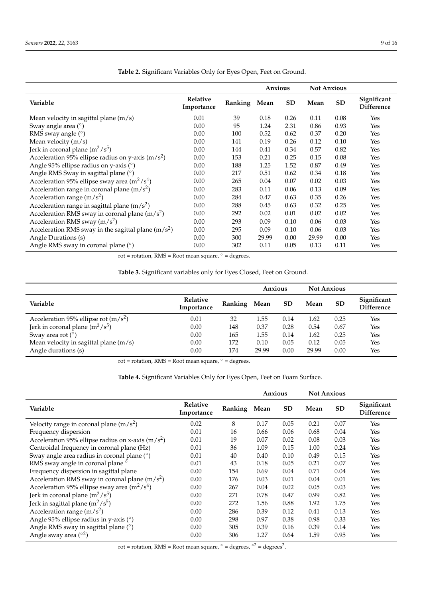l,

|                                                      |                               |         | <b>Anxious</b> |           | <b>Not Anxious</b> |           |                                  |
|------------------------------------------------------|-------------------------------|---------|----------------|-----------|--------------------|-----------|----------------------------------|
| Variable                                             | <b>Relative</b><br>Importance | Ranking | Mean           | <b>SD</b> | Mean               | <b>SD</b> | Significant<br><b>Difference</b> |
| Mean velocity in sagittal plane $(m/s)$              | 0.01                          | 39      | 0.18           | 0.26      | 0.11               | 0.08      | Yes                              |
| Sway angle area $(°)$                                | 0.00                          | 95      | 1.24           | 2.31      | 0.86               | 0.93      | Yes                              |
| RMS sway angle $(°)$                                 | 0.00                          | 100     | 0.52           | 0.62      | 0.37               | 0.20      | Yes                              |
| Mean velocity $(m/s)$                                | 0.00                          | 141     | 0.19           | 0.26      | 0.12               | 0.10      | Yes                              |
| Jerk in coronal plane $(m^2/s^5)$                    | 0.00                          | 144     | 0.41           | 0.34      | 0.57               | 0.82      | Yes                              |
| Acceleration 95% ellipse radius on y-axis $(m/s2)$   | 0.00                          | 153     | 0.21           | 0.25      | 0.15               | 0.08      | Yes                              |
| Angle 95% ellipse radius on y-axis (°)               | 0.00                          | 188     | 1.25           | 1.52      | 0.87               | 0.49      | Yes                              |
| Angle RMS Sway in sagittal plane (°)                 | 0.00                          | 217     | 0.51           | 0.62      | 0.34               | 0.18      | Yes                              |
| Acceleration 95% ellipse sway area $(m^2/s^4)$       | 0.00                          | 265     | 0.04           | 0.07      | 0.02               | 0.03      | Yes                              |
| Acceleration range in coronal plane $(m/s2)$         | 0.00                          | 283     | 0.11           | 0.06      | 0.13               | 0.09      | Yes                              |
| Acceleration range $(m/s^2)$                         | 0.00                          | 284     | 0.47           | 0.63      | 0.35               | 0.26      | Yes                              |
| Acceleration range in sagittal plane $(m/s2)$        | 0.00                          | 288     | 0.45           | 0.63      | 0.32               | 0.25      | Yes                              |
| Acceleration RMS sway in coronal plane $(m/s2)$      | 0.00                          | 292     | 0.02           | 0.01      | 0.02               | 0.02      | Yes                              |
| Acceleration RMS sway ( $m/s2$ )                     | 0.00                          | 293     | 0.09           | 0.10      | 0.06               | 0.03      | Yes                              |
| Acceleration RMS sway in the sagittal plane $(m/s2)$ | 0.00                          | 295     | 0.09           | 0.10      | 0.06               | 0.03      | Yes                              |
| Angle Durations (s)                                  | 0.00                          | 300     | 29.99          | 0.00      | 29.99              | 0.00      | Yes                              |
| Angle RMS sway in coronal plane (°)                  | 0.00                          | 302     | 0.11           | 0.05      | 0.13               | 0.11      | Yes                              |

<span id="page-8-0"></span>**Table 2.** Significant Variables Only for Eyes Open, Feet on Ground.

rot = rotation, RMS = Root mean square,  $\circ$  = degrees.

<span id="page-8-1"></span>**Table 3.** Significant variables only for Eyes Closed, Feet on Ground.

|                                         |                               |              | Anxious |           | <b>Not Anxious</b> |           |                                  |
|-----------------------------------------|-------------------------------|--------------|---------|-----------|--------------------|-----------|----------------------------------|
| Variable                                | <b>Relative</b><br>Importance | Ranking Mean |         | <b>SD</b> | Mean               | <b>SD</b> | Significant<br><b>Difference</b> |
| Acceleration 95% ellipse rot $(m/s^2)$  | 0.01                          | 32           | 1.55    | 0.14      | 1.62               | 0.25      | Yes                              |
| Jerk in coronal plane $(m^2/s^5)$       | 0.00                          | 148          | 0.37    | 0.28      | 0.54               | 0.67      | Yes                              |
| Sway area rot $(^\circ)$                | 0.00                          | 165          | 1.55    | 0.14      | 1.62               | 0.25      | Yes                              |
| Mean velocity in sagittal plane $(m/s)$ | 0.00                          | 172          | 0.10    | 0.05      | 0.12               | 0.05      | Yes                              |
| Angle durations (s)                     | 0.00                          | 174          | 29.99   | 0.00      | 29.99              | 0.00      | Yes                              |

rot = rotation,  $RMS = Root$  mean square,  $\circ$  = degrees.

<span id="page-8-2"></span>**Table 4.** Significant Variables Only for Eyes Open, Feet on Foam Surface.

|                                                     |                               |              | Anxious |           | <b>Not Anxious</b> |           |                                  |
|-----------------------------------------------------|-------------------------------|--------------|---------|-----------|--------------------|-----------|----------------------------------|
| Variable                                            | <b>Relative</b><br>Importance | Ranking Mean |         | <b>SD</b> | Mean               | <b>SD</b> | Significant<br><b>Difference</b> |
| Velocity range in coronal plane $(m/s^2)$           | 0.02                          | 8            | 0.17    | 0.05      | 0.21               | 0.07      | Yes                              |
| Frequency dispersion                                | 0.01                          | 16           | 0.66    | 0.06      | 0.68               | 0.04      | Yes                              |
| Acceleration 95% ellipse radius on x-axis $(m/s^2)$ | 0.01                          | 19           | 0.07    | 0.02      | 0.08               | 0.03      | Yes                              |
| Centroidal frequency in coronal plane (Hz)          | 0.01                          | 36           | 1.09    | 0.15      | 1.00               | 0.24      | Yes                              |
| Sway angle area radius in coronal plane (°)         | 0.01                          | 40           | 0.40    | 0.10      | 0.49               | 0.15      | Yes                              |
| RMS sway angle in coronal plane °                   | 0.01                          | 43           | 0.18    | 0.05      | 0.21               | 0.07      | Yes                              |
| Frequency dispersion in sagittal plane              | 0.00                          | 154          | 0.69    | 0.04      | 0.71               | 0.04      | Yes                              |
| Acceleration RMS sway in coronal plane $(m/s2)$     | 0.00                          | 176          | 0.03    | 0.01      | 0.04               | 0.01      | Yes                              |
| Acceleration 95% ellipse sway area $(m^2/s^4)$      | 0.00                          | 267          | 0.04    | 0.02      | 0.05               | 0.03      | Yes                              |
| Jerk in coronal plane $(m^2/s^5)$                   | 0.00                          | 271          | 0.78    | 0.47      | 0.99               | 0.82      | Yes                              |
| Jerk in sagittal plane $(m^2/s^5)$                  | 0.00                          | 272          | 1.56    | 0.88      | 1.92               | 1.75      | Yes                              |
| Acceleration range $(m/s2)$                         | 0.00                          | 286          | 0.39    | 0.12      | 0.41               | 0.13      | Yes                              |
| Angle 95% ellipse radius in y-axis (°)              | 0.00                          | 298          | 0.97    | 0.38      | 0.98               | 0.33      | Yes                              |
| Angle RMS sway in sagittal plane (°)                | 0.00                          | 305          | 0.39    | 0.16      | 0.39               | 0.14      | Yes                              |
| Angle sway area $({}^{\circ 2})$                    | 0.00                          | 306          | 1.27    | 0.64      | 1.59               | 0.95      | Yes                              |

rot = rotation, RMS = Root mean square,  $\degree$  = degrees,  $\degree$ <sup>2</sup> = degrees<sup>2</sup>.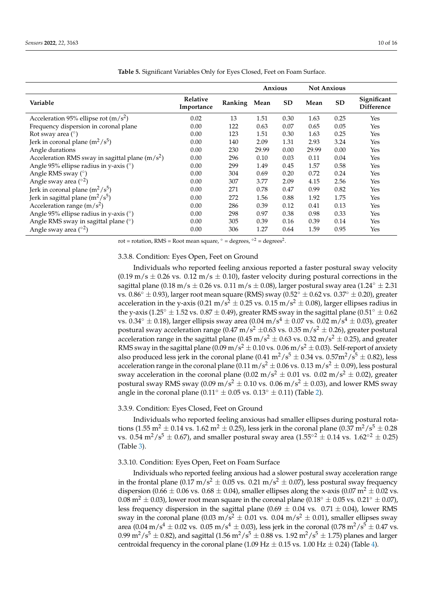|                                                   |                        |              | Anxious |           | <b>Not Anxious</b> |           |                                  |
|---------------------------------------------------|------------------------|--------------|---------|-----------|--------------------|-----------|----------------------------------|
| Variable                                          | Relative<br>Importance | Ranking Mean |         | <b>SD</b> | Mean               | <b>SD</b> | Significant<br><b>Difference</b> |
| Acceleration 95% ellipse rot $(m/s^2)$            | 0.02                   | 13           | 1.51    | 0.30      | 1.63               | 0.25      | Yes                              |
| Frequency dispersion in coronal plane             | 0.00                   | 122          | 0.63    | 0.07      | 0.65               | 0.05      | Yes                              |
| Rot sway area $(°)$                               | 0.00                   | 123          | 1.51    | 0.30      | 1.63               | 0.25      | Yes                              |
| Jerk in coronal plane $(m^2/s^5)$                 | 0.00                   | 140          | 2.09    | 1.31      | 2.93               | 3.24      | Yes                              |
| Angle durations                                   | 0.00                   | 230          | 29.99   | 0.00      | 29.99              | 0.00      | Yes                              |
| Acceleration RMS sway in sagittal plane $(m/s^2)$ | 0.00                   | 296          | 0.10    | 0.03      | 0.11               | 0.04      | Yes                              |
| Angle 95% ellipse radius in y-axis (°)            | 0.00                   | 299          | 1.49    | 0.45      | 1.57               | 0.58      | Yes                              |
| Angle RMS sway (°)                                | 0.00                   | 304          | 0.69    | 0.20      | 0.72               | 0.24      | Yes                              |
| Angle sway area $({}^{\circ 2})$                  | 0.00                   | 307          | 3.77    | 2.09      | 4.15               | 2.56      | Yes                              |
| Jerk in coronal plane $(m^2/s^5)$                 | 0.00                   | 271          | 0.78    | 0.47      | 0.99               | 0.82      | Yes                              |
| Jerk in sagittal plane $(m^2/s^5)$                | 0.00                   | 272          | 1.56    | 0.88      | 1.92               | 1.75      | Yes                              |
| Acceleration range $(m/s^2)$                      | 0.00                   | 286          | 0.39    | 0.12      | 0.41               | 0.13      | Yes                              |
| Angle 95% ellipse radius in y-axis (°)            | 0.00                   | 298          | 0.97    | 0.38      | 0.98               | 0.33      | Yes                              |
| Angle RMS sway in sagittal plane (°)              | 0.00                   | 305          | 0.39    | 0.16      | 0.39               | 0.14      | Yes                              |
| Angle sway area $(^{\circ 2})$                    | 0.00                   | 306          | 1.27    | 0.64      | 1.59               | 0.95      | Yes                              |

<span id="page-9-0"></span>**Table 5.** Significant Variables Only for Eyes Closed, Feet on Foam Surface.

rot = rotation, RMS = Root mean square,  $\degree$  = degrees,  $\degree$ <sup>2</sup> = degrees<sup>2</sup>.

## 3.3.8. Condition: Eyes Open, Feet on Ground

Individuals who reported feeling anxious reported a faster postural sway velocity  $(0.19 \text{ m/s} \pm 0.26 \text{ vs. } 0.12 \text{ m/s} \pm 0.10)$ , faster velocity during postural corrections in the sagittal plane (0.18 m/s  $\pm$  0.26 vs. 0.11 m/s  $\pm$  0.08), larger postural sway area (1.24°  $\pm$  2.31 vs. 0.86°  $\pm$  0.93), larger root mean square (RMS) sway (0.52°  $\pm$  0.62 vs. 0.37°  $\pm$  0.20), greater acceleration in the y-axis (0.21 m/s<sup>2</sup>  $\pm$  0.25 vs. 0.15 m/s<sup>2</sup>  $\pm$  0.08), larger ellipses radius in the y-axis (1.25°  $\pm$  1.52 vs. 0.87  $\pm$  0.49), greater RMS sway in the sagittal plane (0.51°  $\pm$  0.62 vs. 0.34° ± 0.18), larger ellipsis sway area (0.04 m/s<sup>4</sup> ± 0.07 vs. 0.02 m/s<sup>4</sup> ± 0.03), greater postural sway acceleration range (0.47 m/s<sup>2</sup>  $\pm$ 0.63 vs. 0.35 m/s<sup>2</sup>  $\pm$  0.26), greater postural acceleration range in the sagittal plane (0.45 m/s<sup>2</sup>  $\pm$  0.63 vs. 0.32 m/s<sup>2</sup>  $\pm$  0.25), and greater RMS sway in the sagittal plane  $(0.09 \text{ m/s}^2 \pm 0.10 \text{ vs. } 0.06 \text{ m/s}^2 \pm 0.03)$ . Self-report of anxiety also produced less jerk in the coronal plane  $(0.41 \text{ m}^2/\text{s}^5 \pm 0.34 \text{ vs. } 0.57 \text{ m}^2/\text{s}^5 \pm 0.82)$ , less acceleration range in the coronal plane  $(0.11 \text{ m/s}^2 \pm 0.06 \text{ vs. } 0.13 \text{ m/s}^2 \pm 0.09)$ , less postural sway acceleration in the coronal plane (0.02 m/s<sup>2</sup>  $\pm$  0.01 vs. 0.02 m/s<sup>2</sup>  $\pm$  0.02), greater postural sway RMS sway (0.09 m/s<sup>2</sup>  $\pm$  0.10 vs. 0.06 m/s<sup>2</sup>  $\pm$  0.03), and lower RMS sway angle in the coronal plane (0.11°  $\pm$  0.05 vs. 0.13°  $\pm$  0.11) (Table [2\)](#page-8-0).

## 3.3.9. Condition: Eyes Closed, Feet on Ground

Individuals who reported feeling anxious had smaller ellipses during postural rotations (1.55 m<sup>2</sup>  $\pm$  0.14 vs. 1.62 m<sup>2</sup>  $\pm$  0.25), less jerk in the coronal plane (0.37 m<sup>2</sup>/s<sup>5</sup>  $\pm$  0.28 vs. 0.54 m<sup>2</sup>/s<sup>5</sup> ± 0.67), and smaller postural sway area  $(1.55^{\circ 2} \pm 0.14$  vs.  $1.62^{\circ 2} \pm 0.25)$ (Table [3\)](#page-8-1).

# 3.3.10. Condition: Eyes Open, Feet on Foam Surface

Individuals who reported feeling anxious had a slower postural sway acceleration range in the frontal plane (0.17 m/s<sup>2</sup>  $\pm$  0.05 vs. 0.21 m/s<sup>2</sup>  $\pm$  0.07), less postural sway frequency dispersion (0.66  $\pm$  0.06 vs. 0.68  $\pm$  0.04), smaller ellipses along the x-axis (0.07 m<sup>2</sup>  $\pm$  0.02 vs. 0.08 m<sup>2</sup>  $\pm$  0.03), lower root mean square in the coronal plane (0.18<sup>°</sup>  $\pm$  0.05 vs. 0.21<sup>°</sup>  $\pm$  0.07), less frequency dispersion in the sagittal plane ( $0.69 \pm 0.04$  vs. 0.71  $\pm 0.04$ ), lower RMS sway in the coronal plane (0.03 m/s<sup>2</sup>  $\pm$  0.01 vs. 0.04 m/s<sup>2</sup>  $\pm$  0.01), smaller ellipses sway area (0.04 m/s<sup>4</sup>  $\pm$  0.02 vs. 0.05 m/s<sup>4</sup>  $\pm$  0.03), less jerk in the coronal (0.78 m<sup>2</sup>/s<sup>5</sup>  $\pm$  0.47 vs.  $0.99 \text{ m}^2/\text{s}^5 \pm 0.82$ ), and sagittal  $(1.56 \text{ m}^2/\text{s}^5 \pm 0.88 \text{ vs. } 1.92 \text{ m}^2/\text{s}^5 \pm 1.75)$  planes and larger centroidal frequency in the coronal plane (1.09 Hz  $\pm$  0.15 vs. 1.00 Hz  $\pm$  0.2[4\)](#page-8-2) (Table 4).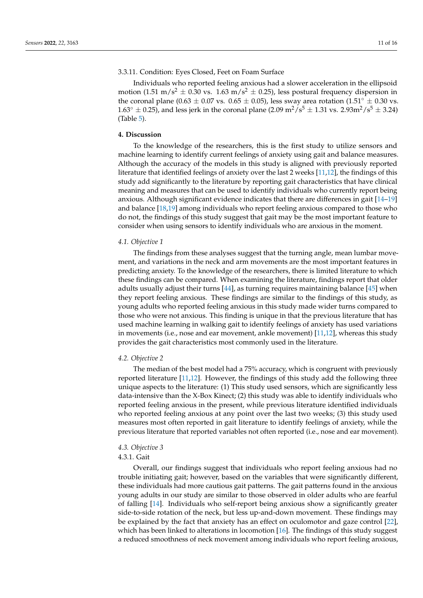## 3.3.11. Condition: Eyes Closed, Feet on Foam Surface

Individuals who reported feeling anxious had a slower acceleration in the ellipsoid motion (1.51 m/s<sup>2</sup>  $\pm$  0.30 vs. 1.63 m/s<sup>2</sup>  $\pm$  0.25), less postural frequency dispersion in the coronal plane (0.63  $\pm$  0.07 vs. 0.65  $\pm$  0.05), less sway area rotation (1.51 $\degree$   $\pm$  0.30 vs.  $1.63^{\circ} \pm 0.25$ ), and less jerk in the coronal plane  $(2.09 \text{ m}^2/\text{s}^5 \pm 1.31 \text{ vs. } 2.93 \text{ m}^2/\text{s}^5 \pm 3.24)$ (Table [5\)](#page-9-0).

# **4. Discussion**

To the knowledge of the researchers, this is the first study to utilize sensors and machine learning to identify current feelings of anxiety using gait and balance measures. Although the accuracy of the models in this study is aligned with previously reported literature that identified feelings of anxiety over the last 2 weeks [\[11](#page-14-10)[,12\]](#page-14-11), the findings of this study add significantly to the literature by reporting gait characteristics that have clinical meaning and measures that can be used to identify individuals who currently report being anxious. Although significant evidence indicates that there are differences in gait [\[14–](#page-14-14)[19\]](#page-14-15) and balance [\[18,](#page-14-13)[19\]](#page-14-15) among individuals who report feeling anxious compared to those who do not, the findings of this study suggest that gait may be the most important feature to consider when using sensors to identify individuals who are anxious in the moment.

# *4.1. Objective 1*

The findings from these analyses suggest that the turning angle, mean lumbar movement, and variations in the neck and arm movements are the most important features in predicting anxiety. To the knowledge of the researchers, there is limited literature to which these findings can be compared. When examining the literature, findings report that older adults usually adjust their turns [\[44\]](#page-15-12), as turning requires maintaining balance [\[45\]](#page-15-13) when they report feeling anxious. These findings are similar to the findings of this study, as young adults who reported feeling anxious in this study made wider turns compared to those who were not anxious. This finding is unique in that the previous literature that has used machine learning in walking gait to identify feelings of anxiety has used variations in movements (i.e., nose and ear movement, ankle movement) [\[11](#page-14-10)[,12\]](#page-14-11), whereas this study provides the gait characteristics most commonly used in the literature.

#### *4.2. Objective 2*

The median of the best model had a 75% accuracy, which is congruent with previously reported literature [\[11](#page-14-10)[,12\]](#page-14-11). However, the findings of this study add the following three unique aspects to the literature: (1) This study used sensors, which are significantly less data-intensive than the X-Box Kinect; (2) this study was able to identify individuals who reported feeling anxious in the present, while previous literature identified individuals who reported feeling anxious at any point over the last two weeks; (3) this study used measures most often reported in gait literature to identify feelings of anxiety, while the previous literature that reported variables not often reported (i.e., nose and ear movement).

# *4.3. Objective 3*

# 4.3.1. Gait

Overall, our findings suggest that individuals who report feeling anxious had no trouble initiating gait; however, based on the variables that were significantly different, these individuals had more cautious gait patterns. The gait patterns found in the anxious young adults in our study are similar to those observed in older adults who are fearful of falling [\[14\]](#page-14-14). Individuals who self-report being anxious show a significantly greater side-to-side rotation of the neck, but less up-and-down movement. These findings may be explained by the fact that anxiety has an effect on oculomotor and gaze control [\[22\]](#page-14-20), which has been linked to alterations in locomotion [\[16\]](#page-14-16). The findings of this study suggest a reduced smoothness of neck movement among individuals who report feeling anxious,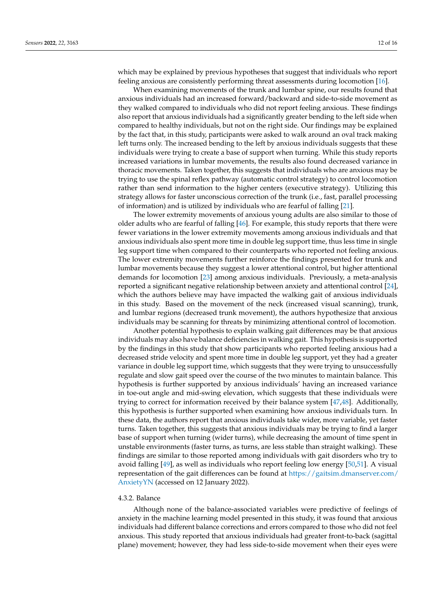which may be explained by previous hypotheses that suggest that individuals who report feeling anxious are consistently performing threat assessments during locomotion [\[16\]](#page-14-16).

When examining movements of the trunk and lumbar spine, our results found that anxious individuals had an increased forward/backward and side-to-side movement as they walked compared to individuals who did not report feeling anxious. These findings also report that anxious individuals had a significantly greater bending to the left side when compared to healthy individuals, but not on the right side. Our findings may be explained by the fact that, in this study, participants were asked to walk around an oval track making left turns only. The increased bending to the left by anxious individuals suggests that these individuals were trying to create a base of support when turning. While this study reports increased variations in lumbar movements, the results also found decreased variance in thoracic movements. Taken together, this suggests that individuals who are anxious may be trying to use the spinal reflex pathway (automatic control strategy) to control locomotion rather than send information to the higher centers (executive strategy). Utilizing this strategy allows for faster unconscious correction of the trunk (i.e., fast, parallel processing of information) and is utilized by individuals who are fearful of falling [\[21\]](#page-14-19).

The lower extremity movements of anxious young adults are also similar to those of older adults who are fearful of falling [\[46\]](#page-15-14). For example, this study reports that there were fewer variations in the lower extremity movements among anxious individuals and that anxious individuals also spent more time in double leg support time, thus less time in single leg support time when compared to their counterparts who reported not feeling anxious. The lower extremity movements further reinforce the findings presented for trunk and lumbar movements because they suggest a lower attentional control, but higher attentional demands for locomotion [\[23\]](#page-14-21) among anxious individuals. Previously, a meta-analysis reported a significant negative relationship between anxiety and attentional control [\[24\]](#page-14-22), which the authors believe may have impacted the walking gait of anxious individuals in this study. Based on the movement of the neck (increased visual scanning), trunk, and lumbar regions (decreased trunk movement), the authors hypothesize that anxious individuals may be scanning for threats by minimizing attentional control of locomotion.

Another potential hypothesis to explain walking gait differences may be that anxious individuals may also have balance deficiencies in walking gait. This hypothesis is supported by the findings in this study that show participants who reported feeling anxious had a decreased stride velocity and spent more time in double leg support, yet they had a greater variance in double leg support time, which suggests that they were trying to unsuccessfully regulate and slow gait speed over the course of the two minutes to maintain balance. This hypothesis is further supported by anxious individuals' having an increased variance in toe-out angle and mid-swing elevation, which suggests that these individuals were trying to correct for information received by their balance system [\[47](#page-15-15)[,48\]](#page-15-16). Additionally, this hypothesis is further supported when examining how anxious individuals turn. In these data, the authors report that anxious individuals take wider, more variable, yet faster turns. Taken together, this suggests that anxious individuals may be trying to find a larger base of support when turning (wider turns), while decreasing the amount of time spent in unstable environments (faster turns, as turns, are less stable than straight walking). These findings are similar to those reported among individuals with gait disorders who try to avoid falling [\[49\]](#page-15-17), as well as individuals who report feeling low energy [\[50](#page-15-18)[,51\]](#page-15-19). A visual representation of the gait differences can be found at [https://gaitsim.dmanserver.com/](https://gaitsim.dmanserver.com/AnxietyYN) [AnxietyYN](https://gaitsim.dmanserver.com/AnxietyYN) (accessed on 12 January 2022).

#### 4.3.2. Balance

Although none of the balance-associated variables were predictive of feelings of anxiety in the machine learning model presented in this study, it was found that anxious individuals had different balance corrections and errors compared to those who did not feel anxious. This study reported that anxious individuals had greater front-to-back (sagittal plane) movement; however, they had less side-to-side movement when their eyes were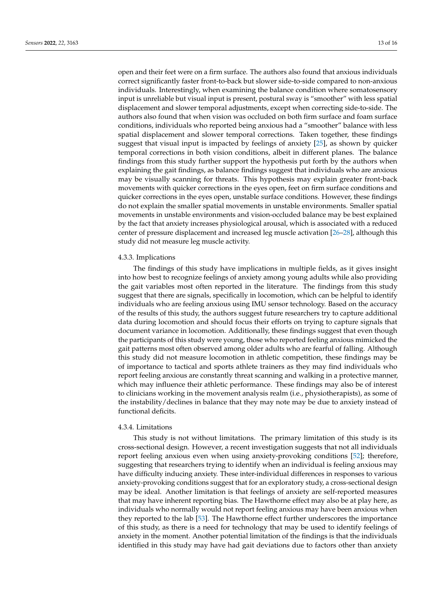open and their feet were on a firm surface. The authors also found that anxious individuals correct significantly faster front-to-back but slower side-to-side compared to non-anxious individuals. Interestingly, when examining the balance condition where somatosensory input is unreliable but visual input is present, postural sway is "smoother" with less spatial displacement and slower temporal adjustments, except when correcting side-to-side. The authors also found that when vision was occluded on both firm surface and foam surface conditions, individuals who reported being anxious had a "smoother" balance with less spatial displacement and slower temporal corrections. Taken together, these findings suggest that visual input is impacted by feelings of anxiety [\[25\]](#page-14-23), as shown by quicker temporal corrections in both vision conditions, albeit in different planes. The balance findings from this study further support the hypothesis put forth by the authors when explaining the gait findings, as balance findings suggest that individuals who are anxious may be visually scanning for threats. This hypothesis may explain greater front-back movements with quicker corrections in the eyes open, feet on firm surface conditions and quicker corrections in the eyes open, unstable surface conditions. However, these findings do not explain the smaller spatial movements in unstable environments. Smaller spatial movements in unstable environments and vision-occluded balance may be best explained by the fact that anxiety increases physiological arousal, which is associated with a reduced center of pressure displacement and increased leg muscle activation [\[26](#page-14-24)[–28\]](#page-14-25), although this study did not measure leg muscle activity.

## 4.3.3. Implications

The findings of this study have implications in multiple fields, as it gives insight into how best to recognize feelings of anxiety among young adults while also providing the gait variables most often reported in the literature. The findings from this study suggest that there are signals, specifically in locomotion, which can be helpful to identify individuals who are feeling anxious using IMU sensor technology. Based on the accuracy of the results of this study, the authors suggest future researchers try to capture additional data during locomotion and should focus their efforts on trying to capture signals that document variance in locomotion. Additionally, these findings suggest that even though the participants of this study were young, those who reported feeling anxious mimicked the gait patterns most often observed among older adults who are fearful of falling. Although this study did not measure locomotion in athletic competition, these findings may be of importance to tactical and sports athlete trainers as they may find individuals who report feeling anxious are constantly threat scanning and walking in a protective manner, which may influence their athletic performance. These findings may also be of interest to clinicians working in the movement analysis realm (i.e., physiotherapists), as some of the instability/declines in balance that they may note may be due to anxiety instead of functional deficits.

#### 4.3.4. Limitations

This study is not without limitations. The primary limitation of this study is its cross-sectional design. However, a recent investigation suggests that not all individuals report feeling anxious even when using anxiety-provoking conditions [\[52\]](#page-15-20); therefore, suggesting that researchers trying to identify when an individual is feeling anxious may have difficulty inducing anxiety. These inter-individual differences in responses to various anxiety-provoking conditions suggest that for an exploratory study, a cross-sectional design may be ideal. Another limitation is that feelings of anxiety are self-reported measures that may have inherent reporting bias. The Hawthorne effect may also be at play here, as individuals who normally would not report feeling anxious may have been anxious when they reported to the lab [\[53\]](#page-15-21). The Hawthorne effect further underscores the importance of this study, as there is a need for technology that may be used to identify feelings of anxiety in the moment. Another potential limitation of the findings is that the individuals identified in this study may have had gait deviations due to factors other than anxiety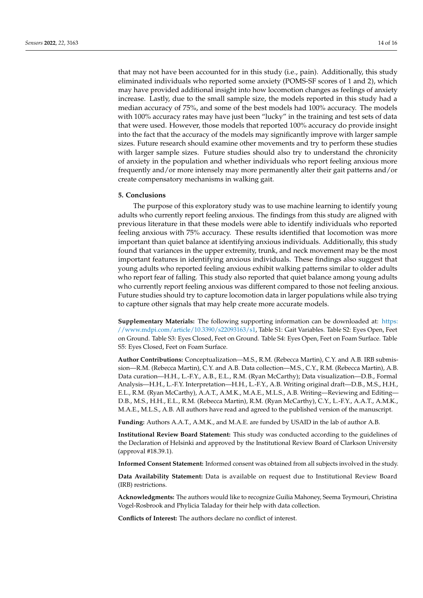that may not have been accounted for in this study (i.e., pain). Additionally, this study eliminated individuals who reported some anxiety (POMS-SF scores of 1 and 2), which may have provided additional insight into how locomotion changes as feelings of anxiety increase. Lastly, due to the small sample size, the models reported in this study had a median accuracy of 75%, and some of the best models had 100% accuracy. The models with 100% accuracy rates may have just been "lucky" in the training and test sets of data that were used. However, those models that reported 100% accuracy do provide insight into the fact that the accuracy of the models may significantly improve with larger sample sizes. Future research should examine other movements and try to perform these studies with larger sample sizes. Future studies should also try to understand the chronicity of anxiety in the population and whether individuals who report feeling anxious more frequently and/or more intensely may more permanently alter their gait patterns and/or create compensatory mechanisms in walking gait.

#### **5. Conclusions**

The purpose of this exploratory study was to use machine learning to identify young adults who currently report feeling anxious. The findings from this study are aligned with previous literature in that these models were able to identify individuals who reported feeling anxious with 75% accuracy. These results identified that locomotion was more important than quiet balance at identifying anxious individuals. Additionally, this study found that variances in the upper extremity, trunk, and neck movement may be the most important features in identifying anxious individuals. These findings also suggest that young adults who reported feeling anxious exhibit walking patterns similar to older adults who report fear of falling. This study also reported that quiet balance among young adults who currently report feeling anxious was different compared to those not feeling anxious. Future studies should try to capture locomotion data in larger populations while also trying to capture other signals that may help create more accurate models.

**Supplementary Materials:** The following supporting information can be downloaded at: [https:](https://www.mdpi.com/article/10.3390/s22093163/s1) [//www.mdpi.com/article/10.3390/s22093163/s1,](https://www.mdpi.com/article/10.3390/s22093163/s1) Table S1: Gait Variables. Table S2: Eyes Open, Feet on Ground. Table S3: Eyes Closed, Feet on Ground. Table S4: Eyes Open, Feet on Foam Surface. Table S5: Eyes Closed, Feet on Foam Surface.

**Author Contributions:** Conceptualization—M.S., R.M. (Rebecca Martin), C.Y. and A.B. IRB submission—R.M. (Rebecca Martin), C.Y. and A.B. Data collection—M.S., C.Y., R.M. (Rebecca Martin), A.B. Data curation—H.H., L.-F.Y., A.B., E.L., R.M. (Ryan McCarthy); Data visualization—D.B., Formal Analysis—H.H., L.-F.Y. Interpretation—H.H., L.-F.Y., A.B. Writing original draft—D.B., M.S., H.H., E.L., R.M. (Ryan McCarthy), A.A.T., A.M.K., M.A.E., M.L.S., A.B. Writing—Reviewing and Editing— D.B., M.S., H.H., E.L., R.M. (Rebecca Martin), R.M. (Ryan McCarthy), C.Y., L.-F.Y., A.A.T., A.M.K., M.A.E., M.L.S., A.B. All authors have read and agreed to the published version of the manuscript.

**Funding:** Authors A.A.T., A.M.K., and M.A.E. are funded by USAID in the lab of author A.B.

**Institutional Review Board Statement:** This study was conducted according to the guidelines of the Declaration of Helsinki and approved by the Institutional Review Board of Clarkson University (approval #18.39.1).

**Informed Consent Statement:** Informed consent was obtained from all subjects involved in the study.

**Data Availability Statement:** Data is available on request due to Institutional Review Board (IRB) restrictions.

**Acknowledgments:** The authors would like to recognize Guilia Mahoney, Seema Teymouri, Christina Vogel-Rosbrook and Phylicia Taladay for their help with data collection.

**Conflicts of Interest:** The authors declare no conflict of interest.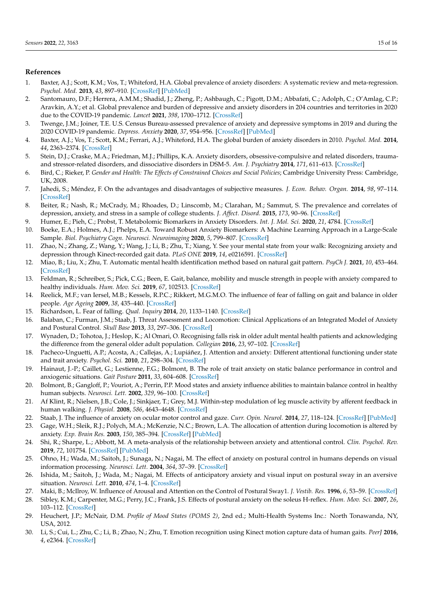# **References**

- <span id="page-14-0"></span>1. Baxter, A.J.; Scott, K.M.; Vos, T.; Whiteford, H.A. Global prevalence of anxiety disorders: A systematic review and meta-regression. *Psychol. Med.* **2013**, *43*, 897–910. [\[CrossRef\]](http://doi.org/10.1017/S003329171200147X) [\[PubMed\]](http://www.ncbi.nlm.nih.gov/pubmed/22781489)
- <span id="page-14-1"></span>2. Santomauro, D.F.; Herrera, A.M.M.; Shadid, J.; Zheng, P.; Ashbaugh, C.; Pigott, D.M.; Abbafati, C.; Adolph, C.; O'Amlag, C.P.; Aravkin, A.Y.; et al. Global prevalence and burden of depressive and anxiety disorders in 204 countries and territories in 2020 due to the COVID-19 pandemic. *Lancet* **2021**, *398*, 1700–1712. [\[CrossRef\]](http://doi.org/10.1016/S0140-6736(21)02143-7)
- <span id="page-14-2"></span>3. Twenge, J.M.; Joiner, T.E. U.S. Census Bureau-assessed prevalence of anxiety and depressive symptoms in 2019 and during the 2020 COVID-19 pandemic. *Depress. Anxiety* **2020**, *37*, 954–956. [\[CrossRef\]](http://doi.org/10.1002/da.23077) [\[PubMed\]](http://www.ncbi.nlm.nih.gov/pubmed/32667081)
- <span id="page-14-3"></span>4. Baxter, A.J.; Vos, T.; Scott, K.M.; Ferrari, A.J.; Whiteford, H.A. The global burden of anxiety disorders in 2010. *Psychol. Med.* **2014**, *44*, 2363–2374. [\[CrossRef\]](http://doi.org/10.1017/S0033291713003243)
- <span id="page-14-4"></span>5. Stein, D.J.; Craske, M.A.; Friedman, M.J.; Phillips, K.A. Anxiety disorders, obsessive-compulsive and related disorders, traumaand stressor-related disorders, and dissociative disorders in DSM-5. *Am. J. Psychiatry* **2014**, *171*, 611–613. [\[CrossRef\]](http://doi.org/10.1176/appi.ajp.2014.14010003)
- <span id="page-14-5"></span>6. Bird, C.; Rieker, P. *Gender and Health: The Effects of Constrained Choices and Social Policies*; Cambridge University Press: Cambridge, UK, 2008.
- <span id="page-14-6"></span>7. Jahedi, S.; Méndez, F. On the advantages and disadvantages of subjective measures. *J. Econ. Behav. Organ.* **2014**, *98*, 97–114. [\[CrossRef\]](http://doi.org/10.1016/j.jebo.2013.12.016)
- <span id="page-14-7"></span>8. Beiter, R.; Nash, R.; McCrady, M.; Rhoades, D.; Linscomb, M.; Clarahan, M.; Sammut, S. The prevalence and correlates of depression, anxiety, and stress in a sample of college students. *J. Affect. Disord.* **2015**, *173*, 90–96. [\[CrossRef\]](http://doi.org/10.1016/j.jad.2014.10.054)
- <span id="page-14-8"></span>9. Humer, E.; Pieh, C.; Probst, T. Metabolomic Biomarkers in Anxiety Disorders. *Int. J. Mol. Sci.* **2020**, *21*, 4784. [\[CrossRef\]](http://doi.org/10.3390/ijms21134784)
- <span id="page-14-9"></span>10. Boeke, E.A.; Holmes, A.J.; Phelps, E.A. Toward Robust Anxiety Biomarkers: A Machine Learning Approach in a Large-Scale Sample. *Biol. Psychiatry Cogn. Neurosci. Neuroimaging* **2020**, *5*, 799–807. [\[CrossRef\]](http://doi.org/10.1016/j.bpsc.2019.05.018)
- <span id="page-14-10"></span>11. Zhao, N.; Zhang, Z.; Wang, Y.; Wang, J.; Li, B.; Zhu, T.; Xiang, Y. See your mental state from your walk: Recognizing anxiety and depression through Kinect-recorded gait data. *PLoS ONE* **2019**, *14*, e0216591. [\[CrossRef\]](http://doi.org/10.1371/journal.pone.0216591)
- <span id="page-14-11"></span>12. Miao, B.; Liu, X.; Zhu, T. Automatic mental health identification method based on natural gait pattern. *PsyCh J.* **2021**, *10*, 453–464. [\[CrossRef\]](http://doi.org/10.1002/pchj.434)
- <span id="page-14-12"></span>13. Feldman, R.; Schreiber, S.; Pick, C.G.; Been, E. Gait, balance, mobility and muscle strength in people with anxiety compared to healthy individuals. *Hum. Mov. Sci.* **2019**, *67*, 102513. [\[CrossRef\]](http://doi.org/10.1016/j.humov.2019.102513)
- <span id="page-14-14"></span>14. Reelick, M.F.; van Iersel, M.B.; Kessels, R.P.C.; Rikkert, M.G.M.O. The influence of fear of falling on gait and balance in older people. *Age Ageing* **2009**, *38*, 435–440. [\[CrossRef\]](http://doi.org/10.1093/ageing/afp066)
- 15. Richardson, L. Fear of falling. *Qual. Inquiry* **2014**, *20*, 1133–1140. [\[CrossRef\]](http://doi.org/10.1177/1077800414543697)
- <span id="page-14-16"></span>16. Balaban, C.; Furman, J.M.; Staab, J. Threat Assessment and Locomotion: Clinical Applications of an Integrated Model of Anxiety and Postural Control. *Skull Base* **2013**, *33*, 297–306. [\[CrossRef\]](http://doi.org/10.1055/s-0033-1356462)
- <span id="page-14-17"></span>17. Wynaden, D.; Tohotoa, J.; Heslop, K.; Al Omari, O. Recognising falls risk in older adult mental health patients and acknowledging the difference from the general older adult population. *Collegian* **2016**, *23*, 97–102. [\[CrossRef\]](http://doi.org/10.1016/j.colegn.2014.12.002)
- <span id="page-14-13"></span>18. Pacheco-Unguetti, A.P.; Acosta, A.; Callejas, A.; Lupiáñez, J. Attention and anxiety: Different attentional functioning under state and trait anxiety. *Psychol. Sci.* **2010**, *21*, 298–304. [\[CrossRef\]](http://doi.org/10.1177/0956797609359624)
- <span id="page-14-15"></span>19. Hainaut, J.-P.; Caillet, G.; Lestienne, F.G.; Bolmont, B. The role of trait anxiety on static balance performance in control and anxiogenic situations. *Gait Posture* **2011**, *33*, 604–608. [\[CrossRef\]](http://doi.org/10.1016/j.gaitpost.2011.01.017)
- <span id="page-14-18"></span>20. Bolmont, B.; Gangloff, P.; Vouriot, A.; Perrin, P.P. Mood states and anxiety influence abilities to maintain balance control in healthy human subjects. *Neurosci. Lett.* **2002**, *329*, 96–100. [\[CrossRef\]](http://doi.org/10.1016/S0304-3940(02)00578-5)
- <span id="page-14-19"></span>21. Af Klint, R.; Nielsen, J.B.; Cole, J.; Sinkjaer, T.; Grey, M.J. Within-step modulation of leg muscle activity by afferent feedback in human walking. *J. Physiol.* **2008**, *586*, 4643–4648. [\[CrossRef\]](http://doi.org/10.1113/jphysiol.2008.155002)
- <span id="page-14-20"></span>22. Staab, J. The influence of anxiety on ocular motor control and gaze. *Curr. Opin. Neurol.* **2014**, *27*, 118–124. [\[CrossRef\]](http://doi.org/10.1097/WCO.0000000000000055) [\[PubMed\]](http://www.ncbi.nlm.nih.gov/pubmed/24335800)
- <span id="page-14-21"></span>23. Gage, W.H.; Sleik, R.J.; Polych, M.A.; McKenzie, N.C.; Brown, L.A. The allocation of attention during locomotion is altered by anxiety. *Exp. Brain Res.* **2003**, *150*, 385–394. [\[CrossRef\]](http://doi.org/10.1007/s00221-003-1468-7) [\[PubMed\]](http://www.ncbi.nlm.nih.gov/pubmed/12707746)
- <span id="page-14-22"></span>24. Shi, R.; Sharpe, L.; Abbott, M. A meta-analysis of the relationship between anxiety and attentional control. *Clin. Psychol. Rev.* **2019**, *72*, 101754. [\[CrossRef\]](http://doi.org/10.1016/j.cpr.2019.101754) [\[PubMed\]](http://www.ncbi.nlm.nih.gov/pubmed/31306935)
- <span id="page-14-23"></span>25. Ohno, H.; Wada, M.; Saitoh, J.; Sunaga, N.; Nagai, M. The effect of anxiety on postural control in humans depends on visual information processing. *Neurosci. Lett.* **2004**, *364*, 37–39. [\[CrossRef\]](http://doi.org/10.1016/j.neulet.2004.04.014)
- <span id="page-14-24"></span>26. Ishida, M.; Saitoh, J.; Wada, M.; Nagai, M. Effects of anticipatory anxiety and visual input on postural sway in an aversive situation. *Neurosci. Lett.* **2010**, *474*, 1–4. [\[CrossRef\]](http://doi.org/10.1016/j.neulet.2010.02.052)
- 27. Maki, B.; McIlroy, W. Influence of Arousal and Attention on the Control of Postural Sway1. *J. Vestib. Res.* **1996**, *6*, 53–59. [\[CrossRef\]](http://doi.org/10.3233/VES-1996-6107)
- <span id="page-14-25"></span>28. Sibley, K.M.; Carpenter, M.G.; Perry, J.C.; Frank, J.S. Effects of postural anxiety on the soleus H-reflex. *Hum. Mov. Sci.* **2007**, *26*, 103–112. [\[CrossRef\]](http://doi.org/10.1016/j.humov.2006.09.004)
- <span id="page-14-26"></span>29. Heuchert, J.P.; McNair, D.M. *Profile of Mood States (POMS 2)*, 2nd ed.; Multi-Health Systems Inc.: North Tonawanda, NY, USA, 2012.
- <span id="page-14-27"></span>30. Li, S.; Cui, L.; Zhu, C.; Li, B.; Zhao, N.; Zhu, T. Emotion recognition using Kinect motion capture data of human gaits. *PeerJ* **2016**, *4*, e2364. [\[CrossRef\]](http://doi.org/10.7717/peerj.2364)